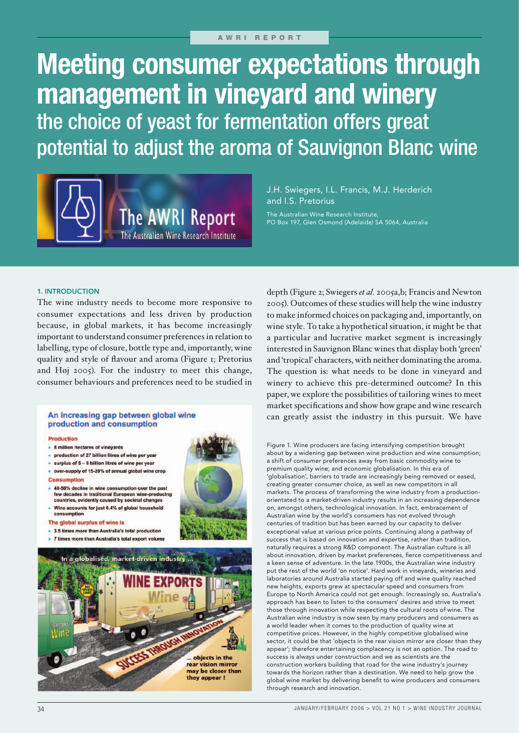# **Meeting consumer expectations through management in vineyard and winery** the choice of yeast for fermentation offers great potential to adjust the aroma of Sauvignon Blanc wine



J.H. Swiegers, I.L. Francis, M.J. Herderich and I.S. Pretorius

The Australian Wine Research Institute, PO Box 197, Glen Osmond (Adelaide) SA 5064, Australia

## 1. INTRODUCTION

The wine industry needs to become more responsive to consumer expectations and less driven by production because, in global markets, it has become increasingly important to understand consumer preferences in relation to labelling, type of closure, bottle type and, importantly, wine quality and style of flavour and aroma (Figure 1; Pretorius and Høj 2005). For the industry to meet this change, consumer behaviours and preferences need to be studied in

### An increasing gap between global wine production and consumption

#### Production

- 8 million hectares of vineyards
- production of 27 billion litres of wine per year
- $\bullet$  surplus of  $5 6$  billion litres of wine per year
- o over-supply of 15-20% of annual global wine crop

#### Consumption

- 40-50% decline in wine consumption over the past<br>few decades in traditional European wine-producing countries, evidently caused by societal changes
- . Wine accounts for just 0.4% of global household consumption
- The global surplus of wine is
- 3.5 times more than Australia's total production
- . 7 times more than Australia's total export volume



depth (Figure 2; Swiegers *et al.* 2005a,b; Francis and Newton 2005). Outcomes of these studies will help the wine industry to make informed choices on packaging and, importantly, on wine style. To take a hypothetical situation, it might be that a particular and lucrative market segment is increasingly interested in Sauvignon Blanc wines that display both 'green' and 'tropical' characters, with neither dominating the aroma. The question is: what needs to be done in vineyard and winery to achieve this pre-determined outcome? In this paper, we explore the possibilities of tailoring wines to meet market specifications and show how grape and wine research can greatly assist the industry in this pursuit. We have

Figure 1. Wine producers are facing intensifying competition brought about by a widening gap between wine production and wine consumption; a shift of consumer preferences away from basic commodity wine to premium quality wine; and economic globalisation. In this era of 'globalisation', barriers to trade are increasingly being removed or eased, creating greater consumer choice, as well as new competitors in all markets. The process of transforming the wine industry from a productionorientated to a market-driven industry results in an increasing dependence on, amongst others, technological innovation. In fact, embracement of Australian wine by the world's consumers has not evolved through centuries of tradition but has been earned by our capacity to deliver exceptional value at various price points. Continuing along a pathway of success that is based on innovation and expertise, rather than tradition, naturally requires a strong R&D component. The Australian culture is all about innovation, driven by market preferences, fierce competitiveness and a keen sense of adventure. In the late 1900s, the Australian wine industry put the rest of the world 'on notice'. Hard work in vineyards, wineries and laboratories around Australia started paying off and wine quality reached new heights, exports grew at spectacular speed and consumers from Europe to North America could not get enough. Increasingly so, Australia's approach has been to listen to the consumers' desires and strive to meet those through innovation while respecting the cultural roots of wine. The Australian wine industry is now seen by many producers and consumers as a world leader when it comes to the production of quality wine at competitive prices. However, in the highly competitive globalised wine sector, it could be that 'objects in the rear vision mirror are closer than they appear'; therefore entertaining complacency is not an option. The road to success is always under construction and we as scientists are the construction workers building that road for the wine industry's journey towards the horizon rather than a destination. We need to help grow the global wine market by delivering benefit to wine producers and consumers through research and innovation.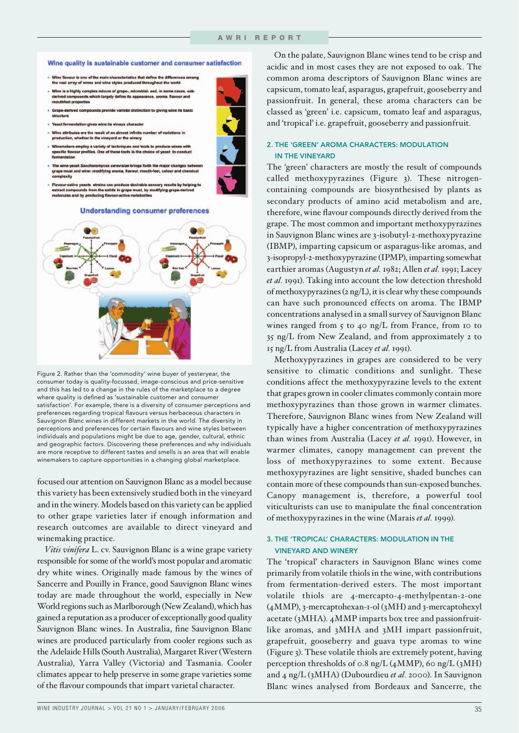#### Wine quality is sustainable customer and consumer satisfaction

- Wine flavour is one of the main characteristics that define the differ<br>the vast array of wines and wine styles produced throughout the w
- Wine is a highly complex mixure of grape-, microbial- and, in some cases, oak<br>derived compounds which largely define its appearance, aroma, flavour and outhfeel properties
- Grape-d rived compounds provide varietal distinction to giving wine its basic structure
- Yeast ferme ntation gives wine its vinous characte
- Wine attributes are the result of an almost infinite number of variations in production, whether in the vineyard or the winery
- Winemakers employ a variety of techniques and tools to produce wines<br>specific flavour profiles. One of these tools is the choice of yeast to cor
- yeast *Saccharomyces cerevisiae* brings forth the major changes **b**<br>st and wine: modifying aroma, flavour, mouth-feel, colour and che The wine yeast Sacch
- grape m complexity
- Flavour-active yeasts strains can produce desirable sensory results<br>extract compounds from the solids in grape must, by modifying grap<br>molecules and by producing flavour-active metabolites ory results by help

#### **Understanding consumer preferences**



Figure 2. Rather than the 'commodity' wine buyer of yesteryear, the consumer today is quality-focussed, image-conscious and price-sensitive and this has led to a change in the rules of the marketplace to a degree where quality is defined as 'sustainable customer and consumer satisfaction'. For example, there is a diversity of consumer perceptions and preferences regarding tropical flavours versus herbaceous characters in Sauvignon Blanc wines in different markets in the world. The diversity in perceptions and preferences for certain flavours and wine styles between individuals and populations might be due to age, gender, cultural, ethnic and geographic factors. Discovering these preferences and why individuals are more receptive to different tastes and smells is an area that will enable winemakers to capture opportunities in a changing global marketplace.

focused our attention on Sauvignon Blanc as a model because this variety has been extensively studied both in the vineyard and in the winery. Models based on this variety can be applied to other grape varieties later if enough information and research outcomes are available to direct vineyard and winemaking practice.

*Vitis vinifera* L. cv. Sauvignon Blanc is a wine grape variety responsible for some of the world's most popular and aromatic dry white wines. Originally made famous by the wines of Sancerre and Pouilly in France, good Sauvignon Blanc wines today are made throughout the world, especially in New World regions such as Marlborough (New Zealand), which has gained a reputation as a producer of exceptionally good quality Sauvignon Blanc wines. In Australia, fine Sauvignon Blanc wines are produced particularly from cooler regions such as the Adelaide Hills (South Australia), Margaret River (Western Australia), Yarra Valley (Victoria) and Tasmania. Cooler climates appear to help preserve in some grape varieties some of the flavour compounds that impart varietal character.

On the palate, Sauvignon Blanc wines tend to be crisp and acidic and in most cases they are not exposed to oak. The common aroma descriptors of Sauvignon Blanc wines are capsicum, tomato leaf, asparagus, grapefruit, gooseberry and passionfruit. In general, these aroma characters can be classed as 'green' i.e. capsicum, tomato leaf and asparagus, and 'tropical' i.e. grapefruit, gooseberry and passionfruit.

## 2. THE 'GREEN' AROMA CHARACTERS: MODULATION IN THE VINEYARD

The 'green' characters are mostly the result of compounds called methoxypyrazines (Figure 3). These nitrogencontaining compounds are biosynthesised by plants as secondary products of amino acid metabolism and are, therefore, wine flavour compounds directly derived from the grape. The most common and important methoxypyrazines in Sauvignon Blanc wines are 3-isobutyl-2-methoxypyrazine (IBMP), imparting capsicum or asparagus-like aromas, and 3-isopropyl-2-methoxypyrazine (IPMP), imparting somewhat earthier aromas (Augustyn *et al.* 1982; Allen *et al.* 1991; Lacey *et al.* 1991). Taking into account the low detection threshold of methoxypyrazines (2 ng/L), it is clear why these compounds can have such pronounced effects on aroma. The IBMP concentrations analysed in a small survey of Sauvignon Blanc wines ranged from 5 to 40 ng/L from France, from 10 to 35 ng/L from New Zealand, and from approximately 2 to 15 ng/L from Australia (Lacey *et al.* 1991).

Methoxypyrazines in grapes are considered to be very sensitive to climatic conditions and sunlight. These conditions affect the methoxypyrazine levels to the extent that grapes grown in cooler climates commonly contain more methoxypyrazines than those grown in warmer climates. Therefore, Sauvignon Blanc wines from New Zealand will typically have a higher concentration of methoxypyrazines than wines from Australia (Lacey *et al.* 1991). However, in warmer climates, canopy management can prevent the loss of methoxypyrazines to some extent. Because methoxypyrazines are light sensitive, shaded bunches can contain more of these compounds than sun-exposed bunches. Canopy management is, therefore, a powerful tool viticulturists can use to manipulate the final concentration of methoxypyrazines in the wine (Marais *et al.* 1999).

## 3. THE 'TROPICAL' CHARACTERS: MODULATION IN THE VINEYARD AND WINERY

The 'tropical' characters in Sauvignon Blanc wines come primarily from volatile thiols in the wine, with contributions from fermentation-derived esters. The most important volatile thiols are 4-mercapto-4-methylpentan-2-one (4MMP), 3-mercaptohexan-1-ol (3MH) and 3-mercaptohexyl acetate (3MHA). 4MMP imparts box tree and passionfruitlike aromas, and 3MHA and 3MH impart passionfruit, grapefruit, gooseberry and guava type aromas to wine (Figure 3). These volatile thiols are extremely potent, having perception thresholds of 0.8 ng/L  $(4MMP)$ , 60 ng/L  $(3MH)$ and 4 ng/L (3MHA) (Dubourdieu *et al.* 2000). In Sauvignon Blanc wines analysed from Bordeaux and Sancerre, the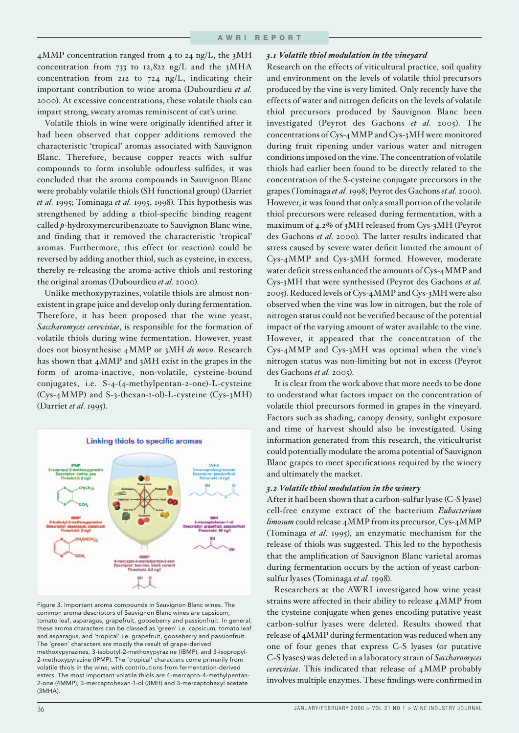4MMP concentration ranged from 4 to 24 ng/L, the 3MH concentration from 733 to 12,822 ng/L and the 3MHA concentration from 212 to 724 ng/L, indicating their important contribution to wine aroma (Dubourdieu *et al.* 2000). At excessive concentrations, these volatile thiols can impart strong, sweaty aromas reminiscent of cat's urine.

Volatile thiols in wine were originally identified after it had been observed that copper additions removed the characteristic 'tropical' aromas associated with Sauvignon Blanc. Therefore, because copper reacts with sulfur compounds to form insoluble odourless sulfides, it was concluded that the aroma compounds in Sauvignon Blanc were probably volatile thiols (SH functional group) (Darriet *et al.* 1995; Tominaga *et al.* 1995, 1998). This hypothesis was strengthened by adding a thiol-specific binding reagent called *p*-hydroxymercuribenzoate to Sauvignon Blanc wine, and finding that it removed the characteristic 'tropical' aromas. Furthermore, this effect (or reaction) could be reversed by adding another thiol, such as cysteine, in excess, thereby re-releasing the aroma-active thiols and restoring the original aromas (Dubourdieu *et al.* 2000).

Unlike methoxypyrazines, volatile thiols are almost nonexistent in grape juice and develop only during fermentation. Therefore, it has been proposed that the wine yeast, *Saccharomyces cerevisiae*, is responsible for the formation of volatile thiols during wine fermentation. However, yeast does not biosynthesise 4MMP or 3MH *de novo*. Research has shown that 4MMP and 3MH exist in the grapes in the form of aroma-inactive, non-volatile, cysteine-bound conjugates, i.e. S-4-(4-methylpentan-2-one)-L-cysteine (Cys-4MMP) and S-3-(hexan-1-ol)-L-cysteine (Cys-3MH) (Darriet *et al.* 1995).



Figure 3. Important aroma compounds in Sauvignon Blanc wines. The common aroma descriptors of Sauvignon Blanc wines are capsicum, tomato leaf, asparagus, grapefruit, gooseberry and passionfruit. In general, these aroma characters can be classed as 'green' i.e. capsicum, tomato leaf and asparagus, and 'tropical' i.e. grapefruit, gooseberry and passionfruit. The 'green' characters are mostly the result of grape-derived methoxypyrazines, 3-isobutyl-2-methoxypyrazine (IBMP), and 3-isopropyl-2-methoxypyrazine (IPMP). The 'tropical' characters come primarily from volatile thiols in the wine, with contributions from fermentation-derived esters. The most important volatile thiols are 4-mercapto-4-methylpentan-2-one (4MMP), 3-mercaptohexan-1-ol (3MH) and 3-mercaptohexyl acetate (3MHA).

#### *3.1 Volatile thiol modulation in the vineyard*

Research on the effects of viticultural practice, soil quality and environment on the levels of volatile thiol precursors produced by the vine is very limited. Only recently have the effects of water and nitrogen deficits on the levels of volatile thiol precursors produced by Sauvignon Blanc been investigated (Peyrot des Gachons *et al.* 2005). The concentrations of Cys-4MMP and Cys-3MH were monitored during fruit ripening under various water and nitrogen conditions imposed on the vine. The concentration of volatile thiols had earlier been found to be directly related to the concentration of the S-cysteine conjugate precursors in the grapes (Tominaga *et al.* 1998; Peyrot des Gachons *et al.* 2000). However, it was found that only a small portion of the volatile thiol precursors were released during fermentation, with a maximum of 4.2% of 3MH released from Cys-3MH (Peyrot des Gachons *et al.* 2000). The latter results indicated that stress caused by severe water deficit limited the amount of Cys-4MMP and Cys-3MH formed. However, moderate water deficit stress enhanced the amounts of Cys-4MMP and Cys-3MH that were synthesised (Peyrot des Gachons *et al.* 2005). Reduced levels of Cys-4MMP and Cys-3MH were also observed when the vine was low in nitrogen, but the role of nitrogen status could not be verified because of the potential impact of the varying amount of water available to the vine. However, it appeared that the concentration of the Cys-4MMP and Cys-3MH was optimal when the vine's nitrogen status was non-limiting but not in excess (Peyrot des Gachons *et al.* 2005).

It is clear from the work above that more needs to be done to understand what factors impact on the concentration of volatile thiol precursors formed in grapes in the vineyard. Factors such as shading, canopy density, sunlight exposure and time of harvest should also be investigated. Using information generated from this research, the viticulturist could potentially modulate the aroma potential of Sauvignon Blanc grapes to meet specifications required by the winery and ultimately the market.

#### *3.2 Volatile thiol modulation in the winery*

After it had been shown that a carbon-sulfur lyase (C-S lyase) cell-free enzyme extract of the bacterium *Eubacterium limosum* could release 4MMP from its precursor, Cys-4MMP (Tominaga *et al.* 1995), an enzymatic mechanism for the release of thiols was suggested. This led to the hypothesis that the amplification of Sauvignon Blanc varietal aromas during fermentation occurs by the action of yeast carbonsulfur lyases (Tominaga *et al.* 1998).

Researchers at the AWRI investigated how wine yeast strains were affected in their ability to release 4MMP from the cysteine conjugate when genes encoding putative yeast carbon-sulfur lyases were deleted. Results showed that release of 4MMP during fermentation was reduced when any one of four genes that express C-S lyases (or putative C-S lyases) was deleted in a laboratory strain of *Saccharomyces cerevisiae*. This indicated that release of 4MMP probably involves multiple enzymes. These findings were confirmed in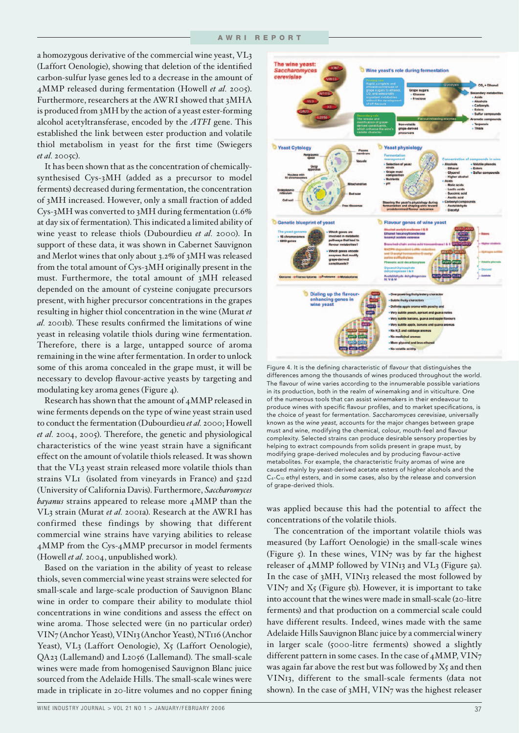a homozygous derivative of the commercial wine yeast, VL3 (Laffort Oenologie), showing that deletion of the identified carbon-sulfur lyase genes led to a decrease in the amount of 4MMP released during fermentation (Howell *et al.* 2005). Furthermore, researchers at the AWRI showed that 3MHA is produced from 3MH by the action of a yeast ester-forming alcohol acetyltransferase, encoded by the *ATFI* gene. This established the link between ester production and volatile thiol metabolism in yeast for the first time (Swiegers *et al.* 2005c).

It has been shown that as the concentration of chemicallysynthesised Cys-3MH (added as a precursor to model ferments) decreased during fermentation, the concentration of 3MH increased. However, only a small fraction of added Cys-3MH was converted to 3MH during fermentation (1.6% at day six of fermentation). This indicated a limited ability of wine yeast to release thiols (Dubourdieu *et al.* 2000). In support of these data, it was shown in Cabernet Sauvignon and Merlot wines that only about 3.2% of 3MH was released from the total amount of Cys-3MH originally present in the must. Furthermore, the total amount of 3MH released depended on the amount of cysteine conjugate precursors present, with higher precursor concentrations in the grapes resulting in higher thiol concentration in the wine (Murat *et al.* 2001b). These results confirmed the limitations of wine yeast in releasing volatile thiols during wine fermentation. Therefore, there is a large, untapped source of aroma remaining in the wine after fermentation. In order to unlock some of this aroma concealed in the grape must, it will be necessary to develop flavour-active yeasts by targeting and modulating key aroma genes (Figure 4).

Research has shown that the amount of 4MMP released in wine ferments depends on the type of wine yeast strain used to conduct the fermentation (Dubourdieu *et al.* 2000; Howell *et al.* 2004, 2005). Therefore, the genetic and physiological characteristics of the wine yeast strain have a significant effect on the amount of volatile thiols released. It was shown that the VL3 yeast strain released more volatile thiols than strains VL1 (isolated from vineyards in France) and 522d (University of California Davis). Furthermore, *Saccharomyces bayanus* strains appeared to release more 4MMP than the VL3 strain (Murat *et al.* 2001a). Research at the AWRI has confirmed these findings by showing that different commercial wine strains have varying abilities to release 4MMP from the Cys-4MMP precursor in model ferments (Howell *et al.* 2004, unpublished work).

Based on the variation in the ability of yeast to release thiols, seven commercial wine yeast strains were selected for small-scale and large-scale production of Sauvignon Blanc wine in order to compare their ability to modulate thiol concentrations in wine conditions and assess the effect on wine aroma. Those selected were (in no particular order) VIN7 (Anchor Yeast), VIN13 (Anchor Yeast), NT116 (Anchor Yeast), VL3 (Laffort Oenologie), X5 (Laffort Oenologie), QA23 (Lallemand) and L2056 (Lallemand). The small-scale wines were made from homogenised Sauvignon Blanc juice sourced from the Adelaide Hills. The small-scale wines were made in triplicate in 20-litre volumes and no copper fining



Figure 4. It is the defining characteristic of *flavour* that distinguishes the differences among the thousands of wines produced throughout the world. The flavour of wine varies according to the innumerable possible variations in its production, both in the realm of winemaking and in viticulture. One of the numerous tools that can assist winemakers in their endeavour to produce wines with specific flavour profiles, and to market specifications, is the choice of yeast for fermentation. *Saccharomyces cerevisiae*, universally known as the *wine yeast*, accounts for the major changes between grape must and wine, modifying the chemical, colour, mouth-feel and flavour complexity. Selected strains can produce desirable sensory properties by helping to extract compounds from solids present in grape must, by modifying grape-derived molecules and by producing flavour-active metabolites. For example, the characteristic fruity aromas of wine are caused mainly by yeast-derived acetate esters of higher alcohols and the C4-C10 ethyl esters, and in some cases, also by the release and conversion of grape-derived thiols.

was applied because this had the potential to affect the concentrations of the volatile thiols.

The concentration of the important volatile thiols was measured (by Laffort Oenologie) in the small-scale wines (Figure 5). In these wines, VIN7 was by far the highest releaser of 4MMP followed by VIN13 and VL3 (Figure 5a). In the case of 3MH, VIN13 released the most followed by  $VIN<sub>7</sub>$  and  $X<sub>5</sub>$  (Figure 5b). However, it is important to take into account that the wines were made in small-scale (20-litre ferments) and that production on a commercial scale could have different results. Indeed, wines made with the same Adelaide Hills Sauvignon Blanc juice by a commercial winery in larger scale (5000-litre ferments) showed a slightly different pattern in some cases. In the case of 4MMP, VIN7 was again far above the rest but was followed by X5 and then VIN13, different to the small-scale ferments (data not shown). In the case of 3MH, VIN7 was the highest releaser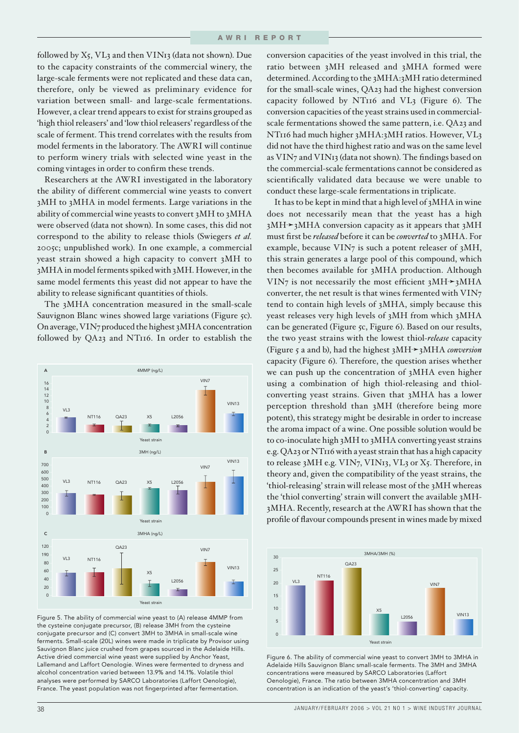followed by X5, VL3 and then VIN13 (data not shown). Due to the capacity constraints of the commercial winery, the large-scale ferments were not replicated and these data can, therefore, only be viewed as preliminary evidence for variation between small- and large-scale fermentations. However, a clear trend appears to exist for strains grouped as 'high thiol releasers' and 'low thiol releasers' regardless of the scale of ferment. This trend correlates with the results from model ferments in the laboratory. The AWRI will continue to perform winery trials with selected wine yeast in the coming vintages in order to confirm these trends.

Researchers at the AWRI investigated in the laboratory the ability of different commercial wine yeasts to convert 3MH to 3MHA in model ferments. Large variations in the ability of commercial wine yeasts to convert 3MH to 3MHA were observed (data not shown). In some cases, this did not correspond to the ability to release thiols (Swiegers *et al.* 2005c; unpublished work). In one example, a commercial yeast strain showed a high capacity to convert 3MH to 3MHA in model ferments spiked with 3MH. However, in the same model ferments this yeast did not appear to have the ability to release significant quantities of thiols.

The 3MHA concentration measured in the small-scale Sauvignon Blanc wines showed large variations (Figure 5c). On average, VIN7 produced the highest 3MHA concentration followed by QA23 and NT116. In order to establish the



Figure 5. The ability of commercial wine yeast to (A) release 4MMP from the cysteine conjugate precursor, (B) release 3MH from the cysteine conjugate precursor and (C) convert 3MH to 3MHA in small-scale wine ferments. Small-scale (20L) wines were made in triplicate by Provisor using Sauvignon Blanc juice crushed from grapes sourced in the Adelaide Hills. Active dried commercial wine yeast were supplied by Anchor Yeast, Lallemand and Laffort Oenologie. Wines were fermented to dryness and alcohol concentration varied between 13.9% and 14.1%. Volatile thiol analyses were performed by SARCO Laboratories (Laffort Oenologie), France. The yeast population was not fingerprinted after fermentation.

conversion capacities of the yeast involved in this trial, the ratio between 3MH released and 3MHA formed were determined. According to the 3MHA:3MH ratio determined for the small-scale wines, QA23 had the highest conversion capacity followed by NT116 and VL3 (Figure 6). The conversion capacities of the yeast strains used in commercialscale fermentations showed the same pattern, i.e. QA23 and NT116 had much higher 3MHA:3MH ratios. However, VL3 did not have the third highest ratio and was on the same level as VIN7 and VIN13 (data not shown). The findings based on the commercial-scale fermentations cannot be considered as scientifically validated data because we were unable to conduct these large-scale fermentations in triplicate.

It has to be kept in mind that a high level of 3MHA in wine does not necessarily mean that the yeast has a high  $3MH \rightarrow 3MH$  conversion capacity as it appears that  $3MH$ must first be *released* before it can be *converted* to 3MHA. For example, because VIN7 is such a potent releaser of 3MH, this strain generates a large pool of this compound, which then becomes available for 3MHA production. Although VIN7 is not necessarily the most efficient  $3MH \rightarrow 3MH$ converter, the net result is that wines fermented with VIN7 tend to contain high levels of 3MHA, simply because this yeast releases very high levels of 3MH from which 3MHA can be generated (Figure 5c, Figure 6). Based on our results, the two yeast strains with the lowest thiol-*release* capacity (Figure 5 a and b), had the highest 3MH➛3MHA *conversion* capacity (Figure 6). Therefore, the question arises whether we can push up the concentration of 3MHA even higher using a combination of high thiol-releasing and thiolconverting yeast strains. Given that 3MHA has a lower perception threshold than 3MH (therefore being more potent), this strategy might be desirable in order to increase the aroma impact of a wine. One possible solution would be to co-inoculate high 3MH to 3MHA converting yeast strains e.g. QA23 or NT116 with a yeast strain that has a high capacity to release 3MH e.g. VIN7, VIN13, VL3 or X5. Therefore, in theory and, given the compatibility of the yeast strains, the 'thiol-releasing' strain will release most of the 3MH whereas the 'thiol converting' strain will convert the available 3MH-3MHA. Recently, research at the AWRI has shown that the profile of flavour compounds present in wines made by mixed



Figure 6. The ability of commercial wine yeast to convert 3MH to 3MHA in Adelaide Hills Sauvignon Blanc small-scale ferments. The 3MH and 3MHA concentrations were measured by SARCO Laboratories (Laffort Oenologie), France. The ratio between 3MHA concentration and 3MH concentration is an indication of the yeast's 'thiol-converting' capacity.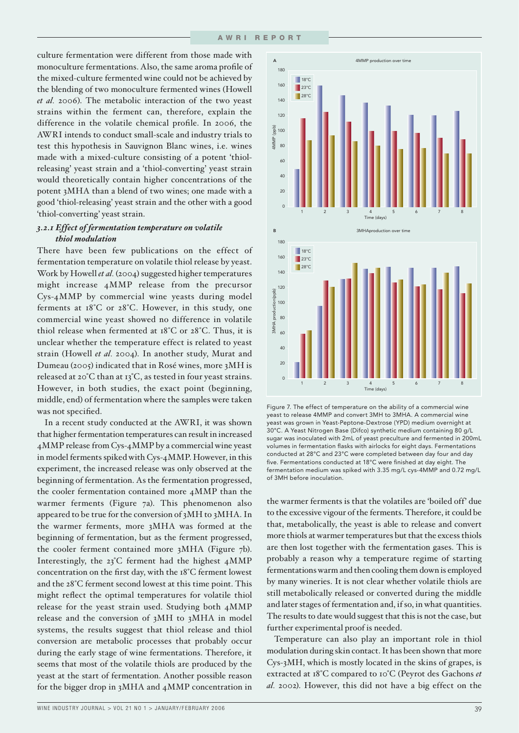culture fermentation were different from those made with monoculture fermentations. Also, the same aroma profile of the mixed-culture fermented wine could not be achieved by the blending of two monoculture fermented wines (Howell *et al.* 2006). The metabolic interaction of the two yeast strains within the ferment can, therefore, explain the difference in the volatile chemical profile. In 2006, the AWRI intends to conduct small-scale and industry trials to test this hypothesis in Sauvignon Blanc wines, i.e. wines made with a mixed-culture consisting of a potent 'thiolreleasing' yeast strain and a 'thiol-converting' yeast strain would theoretically contain higher concentrations of the potent 3MHA than a blend of two wines; one made with a good 'thiol-releasing' yeast strain and the other with a good 'thiol-converting' yeast strain.

## *3.2.1 Effect of fermentation temperature on volatile thiol modulation*

There have been few publications on the effect of fermentation temperature on volatile thiol release by yeast. Work by Howell *et al.* (2004) suggested higher temperatures might increase 4MMP release from the precursor Cys-4MMP by commercial wine yeasts during model ferments at 18°C or 28°C. However, in this study, one commercial wine yeast showed no difference in volatile thiol release when fermented at 18°C or 28°C. Thus, it is unclear whether the temperature effect is related to yeast strain (Howell *et al.* 2004). In another study, Murat and Dumeau (2005) indicated that in Rosé wines, more 3MH is released at 20°C than at 13°C, as tested in four yeast strains. However, in both studies, the exact point (beginning, middle, end) of fermentation where the samples were taken was not specified.

In a recent study conducted at the AWRI, it was shown that higher fermentation temperatures can result in increased 4MMP release from Cys-4MMP by a commercial wine yeast in model ferments spiked with Cys-4MMP. However, in this experiment, the increased release was only observed at the beginning of fermentation. As the fermentation progressed, the cooler fermentation contained more 4MMP than the warmer ferments (Figure 7a). This phenomenon also appeared to be true for the conversion of 3MH to 3MHA. In the warmer ferments, more 3MHA was formed at the beginning of fermentation, but as the ferment progressed, the cooler ferment contained more 3MHA (Figure 7b). Interestingly, the 23°C ferment had the highest 4MMP concentration on the first day, with the  $18^{\circ}$ C ferment lowest and the 28°C ferment second lowest at this time point. This might reflect the optimal temperatures for volatile thiol release for the yeast strain used. Studying both 4MMP release and the conversion of 3MH to 3MHA in model systems, the results suggest that thiol release and thiol conversion are metabolic processes that probably occur during the early stage of wine fermentations. Therefore, it seems that most of the volatile thiols are produced by the yeast at the start of fermentation. Another possible reason for the bigger drop in 3MHA and 4MMP concentration in





Figure 7. The effect of temperature on the ability of a commercial wine yeast to release 4MMP and convert 3MH to 3MHA. A commercial wine yeast was grown in Yeast-Peptone-Dextrose (YPD) medium overnight at 30°C. A Yeast Nitrogen Base (Difco) synthetic medium containing 80 g/L sugar was inoculated with 2mL of yeast preculture and fermented in 200mL volumes in fermentation flasks with airlocks for eight days. Fermentations conducted at 28°C and 23°C were completed between day four and day five. Fermentations conducted at 18°C were finished at day eight. The fermentation medium was spiked with 3.35 mg/L cys-4MMP and 0.72 mg/L of 3MH before inoculation.

the warmer ferments is that the volatiles are 'boiled off' due to the excessive vigour of the ferments. Therefore, it could be that, metabolically, the yeast is able to release and convert more thiols at warmer temperatures but that the excess thiols are then lost together with the fermentation gases. This is probably a reason why a temperature regime of starting fermentations warm and then cooling them down is employed by many wineries. It is not clear whether volatile thiols are still metabolically released or converted during the middle and later stages of fermentation and, if so, in what quantities. The results to date would suggest that this is not the case, but further experimental proof is needed.

Temperature can also play an important role in thiol modulation during skin contact. It has been shown that more Cys-3MH, which is mostly located in the skins of grapes, is extracted at 18°C compared to 10°C (Peyrot des Gachons *et al.* 2002). However, this did not have a big effect on the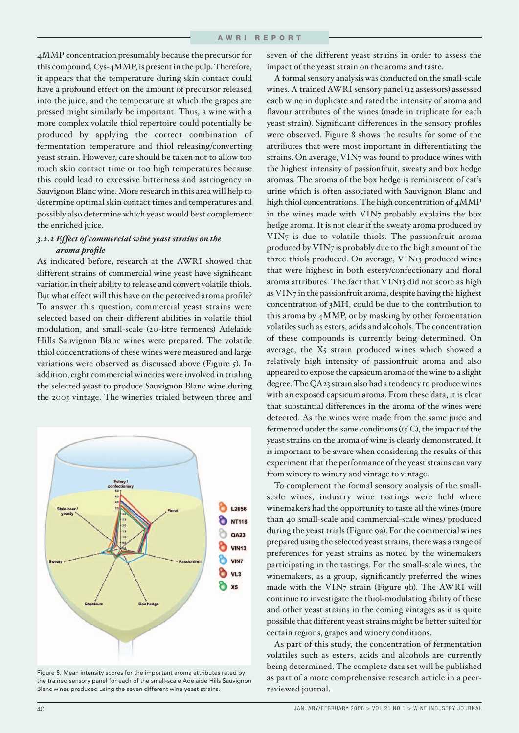4MMP concentration presumably because the precursor for this compound, Cys-4MMP, is present in the pulp. Therefore, it appears that the temperature during skin contact could have a profound effect on the amount of precursor released into the juice, and the temperature at which the grapes are pressed might similarly be important. Thus, a wine with a more complex volatile thiol repertoire could potentially be produced by applying the correct combination of fermentation temperature and thiol releasing/converting yeast strain. However, care should be taken not to allow too much skin contact time or too high temperatures because this could lead to excessive bitterness and astringency in Sauvignon Blanc wine. More research in this area will help to determine optimal skin contact times and temperatures and possibly also determine which yeast would best complement the enriched juice.

# *3.2.2 Effect of commercial wine yeast strains on the aroma profi le*

As indicated before, research at the AWRI showed that different strains of commercial wine yeast have significant variation in their ability to release and convert volatile thiols. But what effect will this have on the perceived aroma profile? To answer this question, commercial yeast strains were selected based on their different abilities in volatile thiol modulation, and small-scale (20-litre ferments) Adelaide Hills Sauvignon Blanc wines were prepared. The volatile thiol concentrations of these wines were measured and large variations were observed as discussed above (Figure 5). In addition, eight commercial wineries were involved in trialing the selected yeast to produce Sauvignon Blanc wine during the 2005 vintage. The wineries trialed between three and



Figure 8. Mean intensity scores for the important aroma attributes rated by the trained sensory panel for each of the small-scale Adelaide Hills Sauvignon Blanc wines produced using the seven different wine yeast strains.

seven of the different yeast strains in order to assess the impact of the yeast strain on the aroma and taste.

A formal sensory analysis was conducted on the small-scale wines. A trained AWRI sensory panel (12 assessors) assessed each wine in duplicate and rated the intensity of aroma and flavour attributes of the wines (made in triplicate for each yeast strain). Significant differences in the sensory profiles were observed. Figure 8 shows the results for some of the attributes that were most important in differentiating the strains. On average, VIN7 was found to produce wines with the highest intensity of passionfruit, sweaty and box hedge aromas. The aroma of the box hedge is reminiscent of cat's urine which is often associated with Sauvignon Blanc and high thiol concentrations. The high concentration of 4MMP in the wines made with VIN7 probably explains the box hedge aroma. It is not clear if the sweaty aroma produced by VIN7 is due to volatile thiols. The passionfruit aroma produced by VIN7 is probably due to the high amount of the three thiols produced. On average, VIN13 produced wines that were highest in both estery/confectionary and floral aroma attributes. The fact that VIN13 did not score as high as VIN7 in the passionfruit aroma, despite having the highest concentration of 3MH, could be due to the contribution to this aroma by 4MMP, or by masking by other fermentation volatiles such as esters, acids and alcohols. The concentration of these compounds is currently being determined. On average, the X5 strain produced wines which showed a relatively high intensity of passionfruit aroma and also appeared to expose the capsicum aroma of the wine to a slight degree. The QA23 strain also had a tendency to produce wines with an exposed capsicum aroma. From these data, it is clear that substantial differences in the aroma of the wines were detected. As the wines were made from the same juice and fermented under the same conditions (15°C), the impact of the yeast strains on the aroma of wine is clearly demonstrated. It is important to be aware when considering the results of this experiment that the performance of the yeast strains can vary from winery to winery and vintage to vintage.

To complement the formal sensory analysis of the smallscale wines, industry wine tastings were held where winemakers had the opportunity to taste all the wines (more than 40 small-scale and commercial-scale wines) produced during the yeast trials (Figure 9a). For the commercial wines prepared using the selected yeast strains, there was a range of preferences for yeast strains as noted by the winemakers participating in the tastings. For the small-scale wines, the winemakers, as a group, significantly preferred the wines made with the VIN7 strain (Figure 9b). The AWRI will continue to investigate the thiol-modulating ability of these and other yeast strains in the coming vintages as it is quite possible that different yeast strains might be better suited for certain regions, grapes and winery conditions.

As part of this study, the concentration of fermentation volatiles such as esters, acids and alcohols are currently being determined. The complete data set will be published as part of a more comprehensive research article in a peerreviewed journal.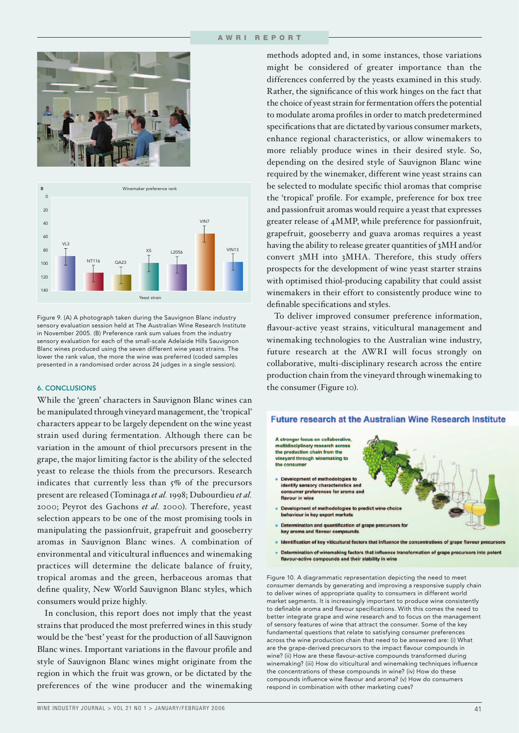



Figure 9. (A) A photograph taken during the Sauvignon Blanc industry sensory evaluation session held at The Australian Wine Research Institute in November 2005. (B) Preference rank sum values from the industry sensory evaluation for each of the small-scale Adelaide Hills Sauvignon Blanc wines produced using the seven different wine yeast strains. The lower the rank value, the more the wine was preferred (coded samples presented in a randomised order across 24 judges in a single session).

## 6. CONCLUSIONS

While the 'green' characters in Sauvignon Blanc wines can be manipulated through vineyard management, the 'tropical' characters appear to be largely dependent on the wine yeast strain used during fermentation. Although there can be variation in the amount of thiol precursors present in the grape, the major limiting factor is the ability of the selected yeast to release the thiols from the precursors. Research indicates that currently less than 5% of the precursors present are released (Tominaga *et al.* 1998; Dubourdieu *et al.* 2000; Peyrot des Gachons *et al.* 2000). Therefore, yeast selection appears to be one of the most promising tools in manipulating the passionfruit, grapefruit and gooseberry aromas in Sauvignon Blanc wines. A combination of environmental and viticultural influences and winemaking practices will determine the delicate balance of fruity, tropical aromas and the green, herbaceous aromas that define quality, New World Sauvignon Blanc styles, which consumers would prize highly.

In conclusion, this report does not imply that the yeast strains that produced the most preferred wines in this study would be the 'best' yeast for the production of all Sauvignon Blanc wines. Important variations in the flavour profile and style of Sauvignon Blanc wines might originate from the region in which the fruit was grown, or be dictated by the preferences of the wine producer and the winemaking

methods adopted and, in some instances, those variations might be considered of greater importance than the differences conferred by the yeasts examined in this study. Rather, the significance of this work hinges on the fact that the choice of yeast strain for fermentation offers the potential to modulate aroma profiles in order to match predetermined specifications that are dictated by various consumer markets, enhance regional characteristics, or allow winemakers to more reliably produce wines in their desired style. So, depending on the desired style of Sauvignon Blanc wine required by the winemaker, different wine yeast strains can be selected to modulate specific thiol aromas that comprise the 'tropical' profile. For example, preference for box tree and passionfruit aromas would require a yeast that expresses greater release of 4MMP, while preference for passionfruit, grapefruit, gooseberry and guava aromas requires a yeast having the ability to release greater quantities of 3MH and/or convert 3MH into 3MHA. Therefore, this study offers prospects for the development of wine yeast starter strains with optimised thiol-producing capability that could assist winemakers in their effort to consistently produce wine to definable specifications and styles.

To deliver improved consumer preference information, flavour-active yeast strains, viticultural management and winemaking technologies to the Australian wine industry, future research at the AWRI will focus strongly on collaborative, multi-disciplinary research across the entire production chain from the vineyard through winemaking to the consumer (Figure 10).



- Identification of key viticultural factors that influence the concentrations of grape flavour precursors
- Determination of winemaking factors that influence transformation of grape precursors into potent flavour-active compounds and their stability in wine

Figure 10. A diagrammatic representation depicting the need to meet consumer demands by generating and improving a responsive supply chain to deliver wines of appropriate quality to consumers in different world market segments. It is increasingly important to produce wine consistently to definable aroma and flavour specifications. With this comes the need to better integrate grape and wine research and to focus on the management of sensory features of wine that attract the consumer. Some of the key fundamental questions that relate to satisfying consumer preferences across the wine production chain that need to be answered are: (i) What are the grape-derived precursors to the impact flavour compounds in wine? (ii) How are these flavour-active compounds transformed during winemaking? (iii) How do viticultural and winemaking techniques influence the concentrations of these compounds in wine? (iv) How do these compounds influence wine flavour and aroma? (v) How do consumers respond in combination with other marketing cues?